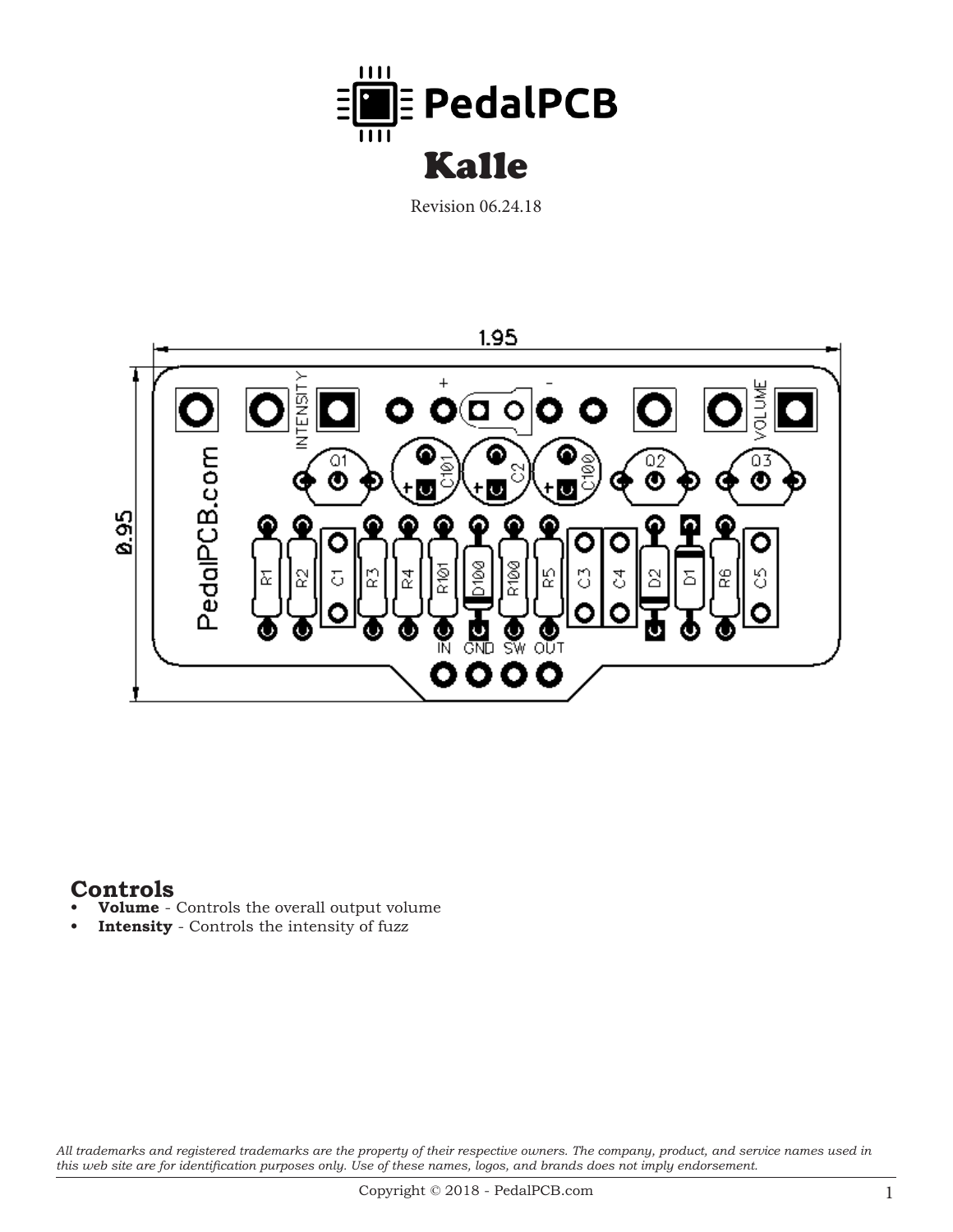

Revision 06.24.18



## **Controls**

- **Volume** Controls the overall output volume
- **Intensity** Controls the intensity of fuzz

*All trademarks and registered trademarks are the property of their respective owners. The company, product, and service names used in this web site are for identification purposes only. Use of these names, logos, and brands does not imply endorsement.*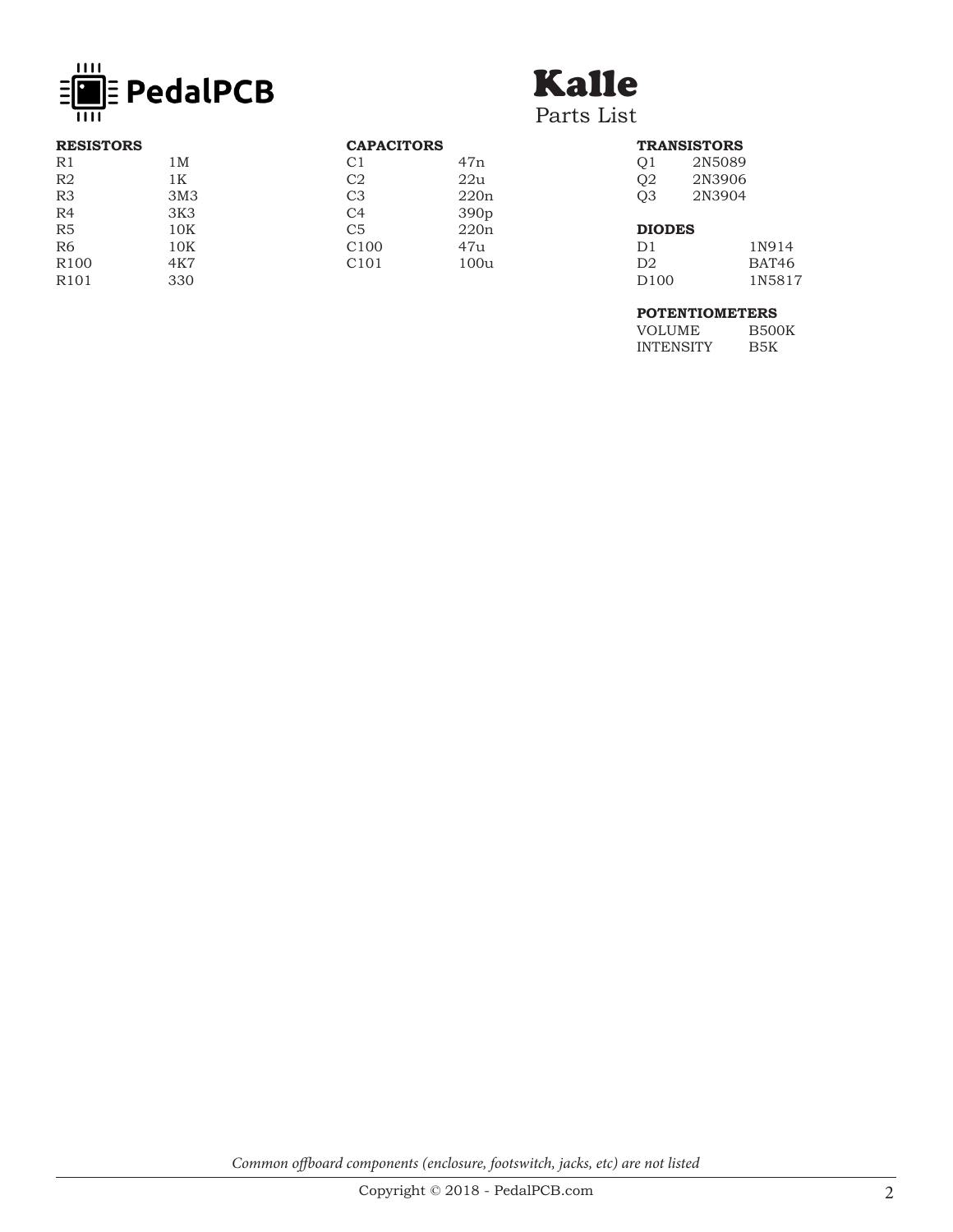

# Kalle

Parts List

| <b>RESISTORS</b> |                 | <b>CAPACITORS</b> |                  |
|------------------|-----------------|-------------------|------------------|
| R1               | 1M              | C1                | 47n              |
| R <sub>2</sub>   | 1 <sub>K</sub>  | C <sub>2</sub>    | 22u              |
| R <sub>3</sub>   | 3M <sub>3</sub> | C <sub>3</sub>    | 220n             |
| R4               | 3K3             | C <sub>4</sub>    | 390 <sub>p</sub> |
| R5               | 10K             | C <sub>5</sub>    | 220n             |
| R <sub>6</sub>   | 10K             | C <sub>100</sub>  | 47u              |
| R <sub>100</sub> | 4K7             | C <sub>101</sub>  | 100u             |
| R <sub>101</sub> | 330             |                   |                  |

#### **TRANSISTORS** Q1 2N5089<br>Q2 2N3906 Q<sub>2</sub> 2N3906<br>Q3 2N3904 Q3 2N3904

### **DIODES**

| 1N914             |
|-------------------|
| BAT <sub>46</sub> |
| 1N5817            |
|                   |

#### **POTENTIOMETERS**

| VOLUME    | <b>B500K</b> |
|-----------|--------------|
| INTENSITY | B5K          |

*Common offboard components (enclosure, footswitch, jacks, etc) are not listed*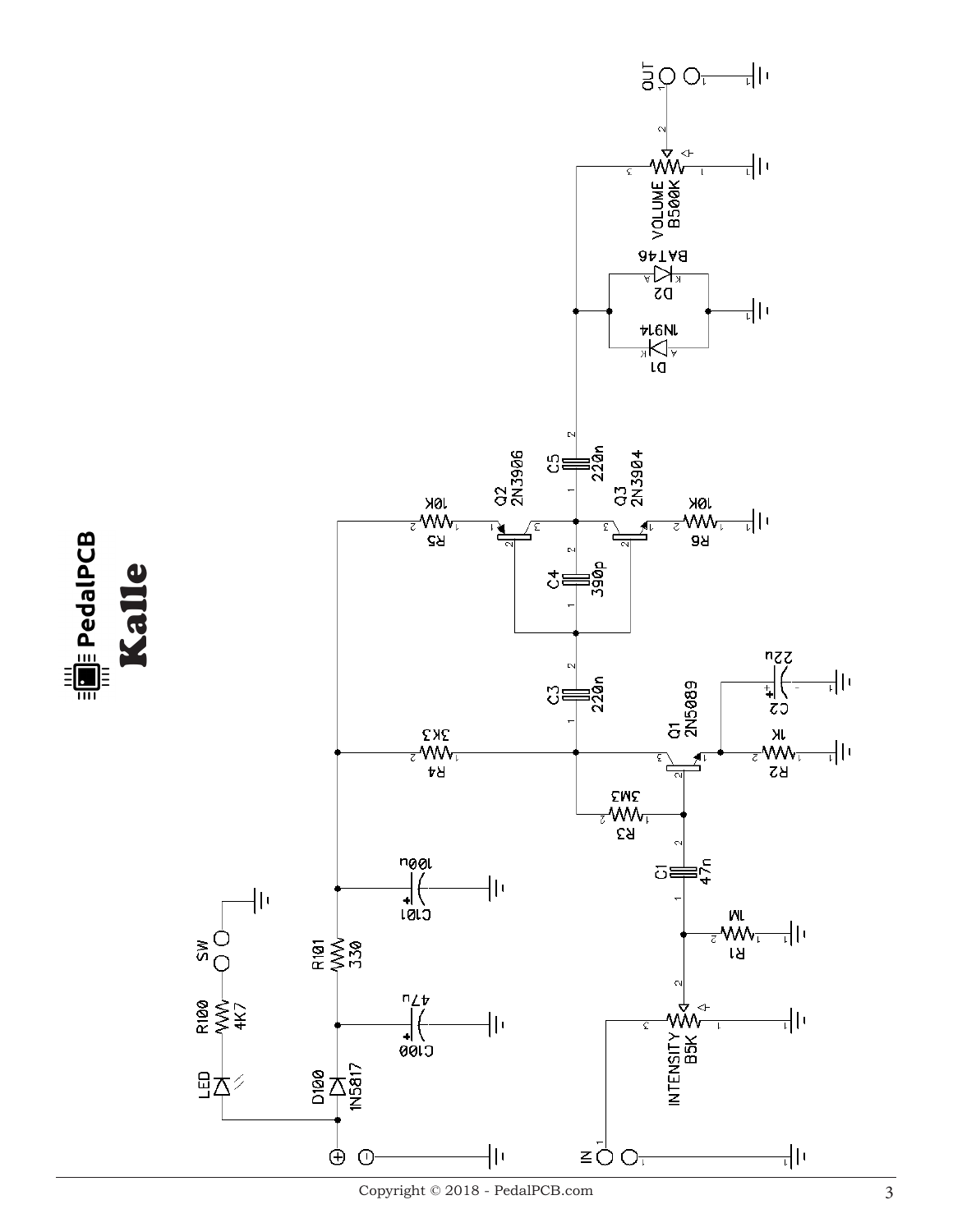

Copyright  $\copyright$  2018 - PedalPCB.com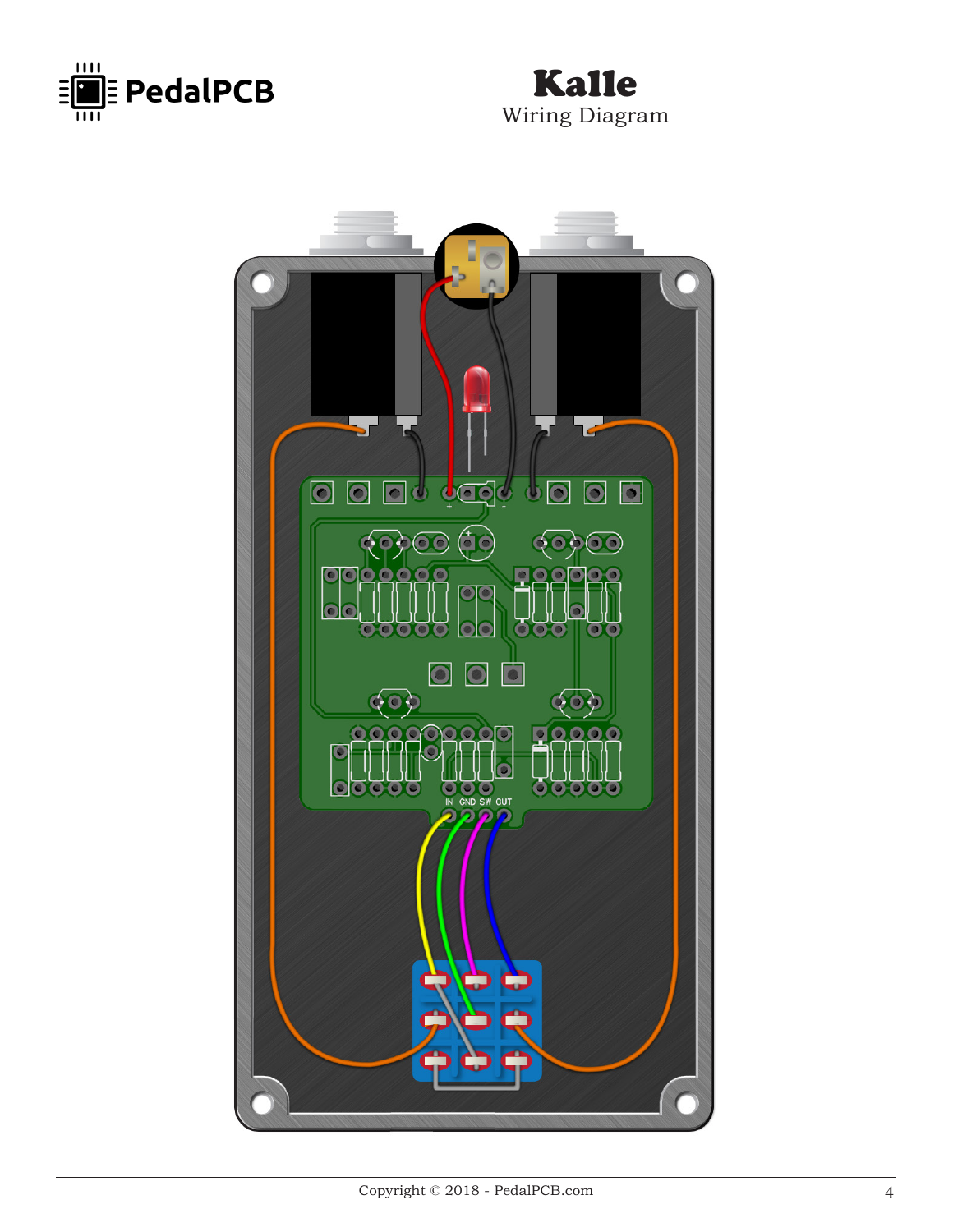